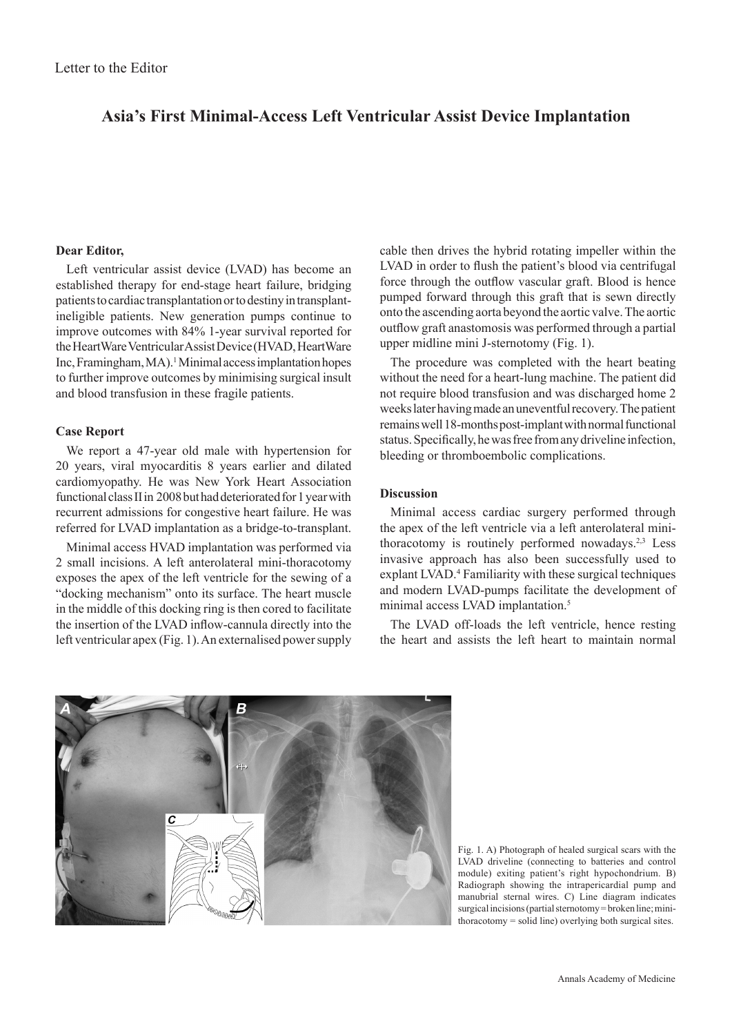# **Asia's First Minimal-Access Left Ventricular Assist Device Implantation**

## **Dear Editor,**

Left ventricular assist device (LVAD) has become an established therapy for end-stage heart failure, bridging patients to cardiac transplantation or to destiny in transplantineligible patients. New generation pumps continue to improve outcomes with 84% 1-year survival reported for the HeartWare Ventricular Assist Device (HVAD, HeartWare Inc, Framingham, MA).<sup>1</sup> Minimal access implantation hopes to further improve outcomes by minimising surgical insult and blood transfusion in these fragile patients.

## **Case Report**

We report a 47-year old male with hypertension for 20 years, viral myocarditis 8 years earlier and dilated cardiomyopathy. He was New York Heart Association functional class II in 2008 but had deteriorated for 1 year with recurrent admissions for congestive heart failure. He was referred for LVAD implantation as a bridge-to-transplant.

Minimal access HVAD implantation was performed via 2 small incisions. A left anterolateral mini-thoracotomy exposes the apex of the left ventricle for the sewing of a "docking mechanism" onto its surface. The heart muscle in the middle of this docking ring is then cored to facilitate the insertion of the LVAD inflow-cannula directly into the left ventricular apex (Fig. 1). An externalised power supply

cable then drives the hybrid rotating impeller within the LVAD in order to flush the patient's blood via centrifugal force through the outflow vascular graft. Blood is hence pumped forward through this graft that is sewn directly onto the ascending aorta beyond the aortic valve. The aortic outflow graft anastomosis was performed through a partial upper midline mini J-sternotomy (Fig. 1).

The procedure was completed with the heart beating without the need for a heart-lung machine. The patient did not require blood transfusion and was discharged home 2 weeks later having made an uneventful recovery. The patient remains well 18-months post-implant with normal functional status. Specifically, he was free from any driveline infection, bleeding or thromboembolic complications.

#### **Discussion**

Minimal access cardiac surgery performed through the apex of the left ventricle via a left anterolateral minithoracotomy is routinely performed nowadays.<sup>2,3</sup> Less invasive approach has also been successfully used to explant LVAD.<sup>4</sup> Familiarity with these surgical techniques and modern LVAD-pumps facilitate the development of minimal access LVAD implantation.<sup>5</sup>

The LVAD off-loads the left ventricle, hence resting the heart and assists the left heart to maintain normal



Fig. 1. A) Photograph of healed surgical scars with the LVAD driveline (connecting to batteries and control module) exiting patient's right hypochondrium. B) Radiograph showing the intrapericardial pump and manubrial sternal wires. C) Line diagram indicates surgical incisions (partial sternotomy = broken line; minithoracotomy = solid line) overlying both surgical sites.